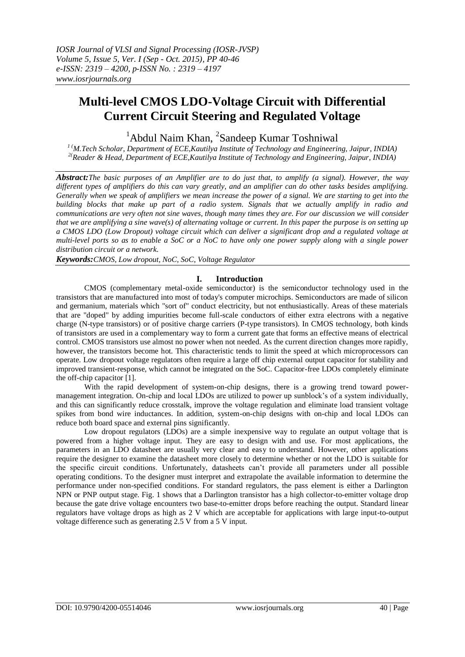# **Multi-level CMOS LDO-Voltage Circuit with Differential Current Circuit Steering and Regulated Voltage**

 $1$ Abdul Naim Khan,  $2$ Sandeep Kumar Toshniwal

*1 (M.Tech Scholar, Department of ECE,Kautilya Institute of Technology and Engineering, Jaipur, INDIA) 2(Reader & Head, Department of ECE,Kautilya Institute of Technology and Engineering, Jaipur, INDIA)*

*Abstract:The basic purposes of an Amplifier are to do just that, to amplify (a signal). However, the way different types of amplifiers do this can vary greatly, and an amplifier can do other tasks besides amplifying. Generally when we speak of amplifiers we mean increase the power of a signal. We are starting to get into the building blocks that make up part of a radio system. Signals that we actually amplify in radio and communications are very often not sine waves, though many times they are. For our discussion we will consider that we are amplifying a sine wave(s) of alternating voltage or current. In this paper the purpose is on setting up a CMOS LDO (Low Dropout) voltage circuit which can deliver a significant drop and a regulated voltage at multi-level ports so as to enable a SoC or a NoC to have only one power supply along with a single power distribution circuit or a network.*

*Keywords:CMOS, Low dropout, NoC, SoC, Voltage Regulator*

### **I. Introduction**

CMOS (complementary metal-oxide semiconductor) is the semiconductor technology used in the transistors that are manufactured into most of today's computer microchips. Semiconductors are made of silicon and germanium, materials which "sort of" conduct electricity, but not enthusiastically. Areas of these materials that are "doped" by adding impurities become full-scale conductors of either extra electrons with a negative charge (N-type transistors) or of positive charge carriers (P-type transistors). In CMOS technology, both kinds of transistors are used in a complementary way to form a current gate that forms an effective means of electrical control. CMOS transistors use almost no power when not needed. As the current direction changes more rapidly, however, the transistors become hot. This characteristic tends to limit the speed at which microprocessors can operate. Low dropout voltage regulators often require a large off chip external output capacitor for stability and improved transient-response, which cannot be integrated on the SoC. Capacitor-free LDOs completely eliminate the off-chip capacitor [1].

With the rapid development of system-on-chip designs, there is a growing trend toward powermanagement integration. On-chip and local LDOs are utilized to power up sunblock's of a system individually, and this can significantly reduce crosstalk, improve the voltage regulation and eliminate load transient voltage spikes from bond wire inductances. In addition, system-on-chip designs with on-chip and local LDOs can reduce both board space and external pins significantly.

Low dropout regulators (LDOs) are a simple inexpensive way to regulate an output voltage that is powered from a higher voltage input. They are easy to design with and use. For most applications, the parameters in an LDO datasheet are usually very clear and easy to understand. However, other applications require the designer to examine the datasheet more closely to determine whether or not the LDO is suitable for the specific circuit conditions. Unfortunately, datasheets can't provide all parameters under all possible operating conditions. To the designer must interpret and extrapolate the available information to determine the performance under non-specified conditions. For standard regulators, the pass element is either a Darlington NPN or PNP output stage. Fig. 1 shows that a Darlington transistor has a high collector-to-emitter voltage drop because the gate drive voltage encounters two base-to-emitter drops before reaching the output. Standard linear regulators have voltage drops as high as 2 V which are acceptable for applications with large input-to-output voltage difference such as generating 2.5 V from a 5 V input.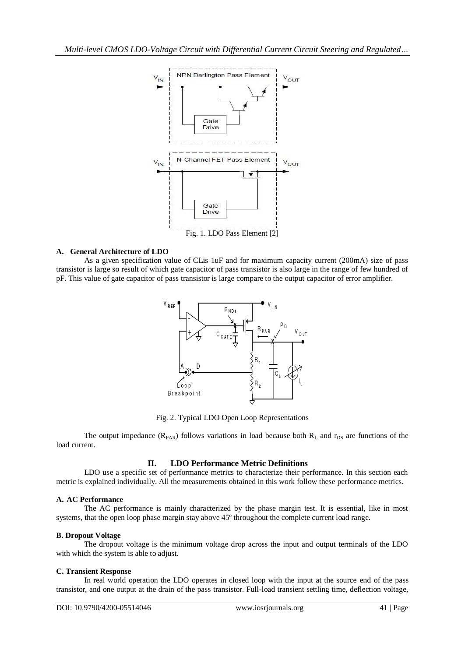

#### **A. General Architecture of LDO**

As a given specification value of CLis 1uF and for maximum capacity current (200mA) size of pass transistor is large so result of which gate capacitor of pass transistor is also large in the range of few hundred of pF. This value of gate capacitor of pass transistor is large compare to the output capacitor of error amplifier.



Fig. 2. Typical LDO Open Loop Representations

The output impedance  $(R_{PAR})$  follows variations in load because both  $R_L$  and  $r_{DS}$  are functions of the load current.

### **II. LDO Performance Metric Definitions**

LDO use a specific set of performance metrics to characterize their performance. In this section each metric is explained individually. All the measurements obtained in this work follow these performance metrics.

#### **A. AC Performance**

The AC performance is mainly characterized by the phase margin test. It is essential, like in most systems, that the open loop phase margin stay above 45º throughout the complete current load range.

#### **B. Dropout Voltage**

The dropout voltage is the minimum voltage drop across the input and output terminals of the LDO with which the system is able to adjust.

#### **C. Transient Response**

In real world operation the LDO operates in closed loop with the input at the source end of the pass transistor, and one output at the drain of the pass transistor. Full-load transient settling time, deflection voltage,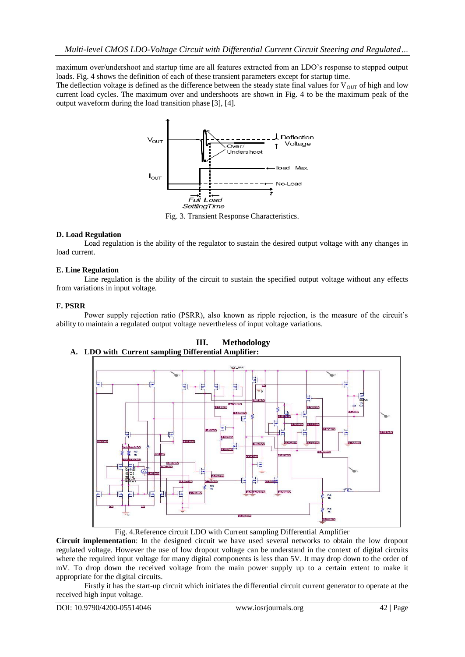maximum over/undershoot and startup time are all features extracted from an LDO's response to stepped output loads. Fig. 4 shows the definition of each of these transient parameters except for startup time.

The deflection voltage is defined as the difference between the steady state final values for  $V_{\text{OIT}}$  of high and low current load cycles. The maximum over and undershoots are shown in Fig. 4 to be the maximum peak of the output waveform during the load transition phase [3], [4].



Fig. 3. Transient Response Characteristics.

### **D. Load Regulation**

Load regulation is the ability of the regulator to sustain the desired output voltage with any changes in load current.

#### **E. Line Regulation**

Line regulation is the ability of the circuit to sustain the specified output voltage without any effects from variations in input voltage.

#### **F. PSRR**

Power supply rejection ratio (PSRR), also known as ripple rejection, is the measure of the circuit's ability to maintain a regulated output voltage nevertheless of input voltage variations.



**III. Methodology A. LDO with Current sampling Differential Amplifier:**

Fig. 4.Reference circuit LDO with Current sampling Differential Amplifier

**Circuit implementation**: In the designed circuit we have used several networks to obtain the low dropout regulated voltage. However the use of low dropout voltage can be understand in the context of digital circuits where the required input voltage for many digital components is less than 5V. It may drop down to the order of mV. To drop down the received voltage from the main power supply up to a certain extent to make it appropriate for the digital circuits.

Firstly it has the start-up circuit which initiates the differential circuit current generator to operate at the received high input voltage.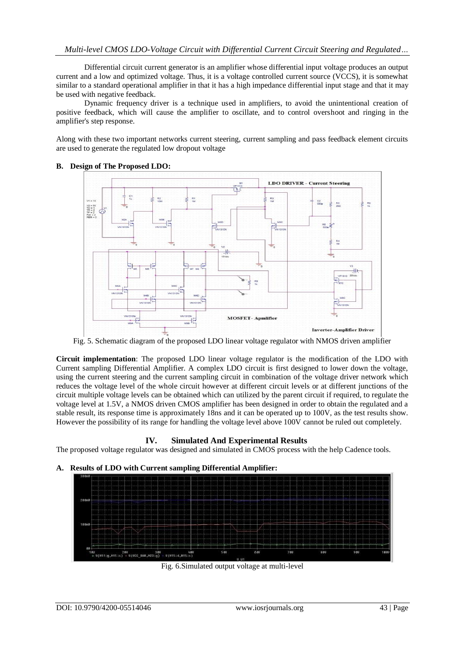Differential circuit current generator is an amplifier whose differential input voltage produces an output current and a low and optimized voltage. Thus, it is a voltage controlled current source (VCCS), it is somewhat similar to a standard operational amplifier in that it has a high impedance differential input stage and that it may be used with negative feedback.

Dynamic frequency driver is a technique used in amplifiers, to avoid the unintentional creation of positive feedback, which will cause the amplifier to oscillate, and to control overshoot and ringing in the amplifier's step response.

Along with these two important networks current steering, current sampling and pass feedback element circuits are used to generate the regulated low dropout voltage



## **B. Design of The Proposed LDO:**

Fig. 5. Schematic diagram of the proposed LDO linear voltage regulator with NMOS driven amplifier

**Circuit implementation**: The proposed LDO linear voltage regulator is the modification of the LDO with Current sampling Differential Amplifier. A complex LDO circuit is first designed to lower down the voltage, using the current steering and the current sampling circuit in combination of the voltage driver network which reduces the voltage level of the whole circuit however at different circuit levels or at different junctions of the circuit multiple voltage levels can be obtained which can utilized by the parent circuit if required, to regulate the voltage level at 1.5V, a NMOS driven CMOS amplifier has been designed in order to obtain the regulated and a stable result, its response time is approximately 18ns and it can be operated up to 100V, as the test results show. However the possibility of its range for handling the voltage level above 100V cannot be ruled out completely.

### **IV. Simulated And Experimental Results**

The proposed voltage regulator was designed and simulated in CMOS process with the help Cadence tools.

### **A. Results of LDO with Current sampling Differential Amplifier:**



Fig. 6.Simulated output voltage at multi-level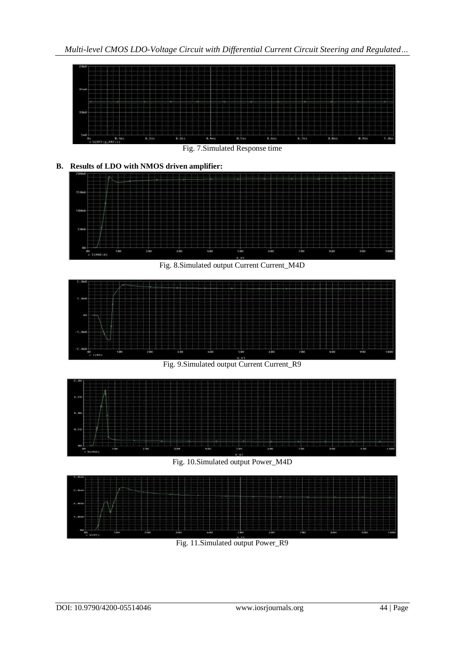

Fig. 11.Simulated output Power\_R9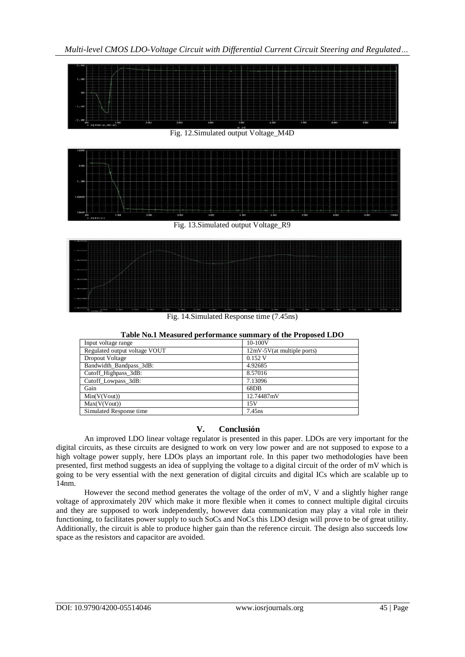



Fig. 14.Simulated Response time (7.45ns)

| Input voltage range           | 10-100V                      |
|-------------------------------|------------------------------|
| Regulated output voltage VOUT | $12mV-5V(at multiple ports)$ |
| Dropout Voltage               | $0.152$ V                    |
| Bandwidth Bandpass 3dB:       | 4.92685                      |
| Cutoff_Highpass_3dB:          | 8.57016                      |
| Cutoff Lowpass 3dB:           | 7.13096                      |
| Gain                          | 68DB                         |
| Min(V(Vout))                  | 12.74487mV                   |
| Max(V(Vout))                  | 15V                          |
| Simulated Response time       | 7.45 <sub>ns</sub>           |

**Table No.1 Measured performance summary of the Proposed LDO**

## **V. Conclusión**

An improved LDO linear voltage regulator is presented in this paper. LDOs are very important for the digital circuits, as these circuits are designed to work on very low power and are not supposed to expose to a high voltage power supply, here LDOs plays an important role. In this paper two methodologies have been presented, first method suggests an idea of supplying the voltage to a digital circuit of the order of mV which is going to be very essential with the next generation of digital circuits and digital ICs which are scalable up to 14nm.

However the second method generates the voltage of the order of mV, V and a slightly higher range voltage of approximately 20V which make it more flexible when it comes to connect multiple digital circuits and they are supposed to work independently, however data communication may play a vital role in their functioning, to facilitates power supply to such SoCs and NoCs this LDO design will prove to be of great utility. Additionally, the circuit is able to produce higher gain than the reference circuit. The design also succeeds low space as the resistors and capacitor are avoided.